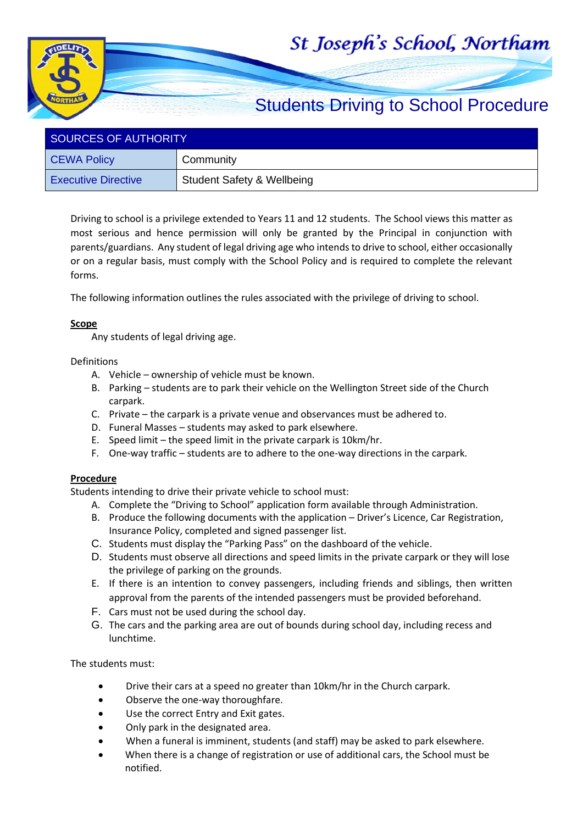## St Joseph's School, Northam



| SOURCES OF AUTHORITY       |                                       |  |  |
|----------------------------|---------------------------------------|--|--|
| <b>CEWA Policy</b>         | Community                             |  |  |
| <b>Executive Directive</b> | <b>Student Safety &amp; Wellbeing</b> |  |  |

Driving to school is a privilege extended to Years 11 and 12 students. The School views this matter as most serious and hence permission will only be granted by the Principal in conjunction with parents/guardians. Any student of legal driving age who intends to drive to school, either occasionally or on a regular basis, must comply with the School Policy and is required to complete the relevant forms.

The following information outlines the rules associated with the privilege of driving to school.

## **Scope**

Any students of legal driving age.

## Definitions

- A. Vehicle ownership of vehicle must be known.
- B. Parking students are to park their vehicle on the Wellington Street side of the Church carpark.
- C. Private the carpark is a private venue and observances must be adhered to.
- D. Funeral Masses students may asked to park elsewhere.
- E. Speed limit the speed limit in the private carpark is 10km/hr.
- F. One-way traffic students are to adhere to the one-way directions in the carpark.

## **Procedure**

Students intending to drive their private vehicle to school must:

- A. Complete the "Driving to School" application form available through Administration.
- B. Produce the following documents with the application Driver's Licence, Car Registration, Insurance Policy, completed and signed passenger list.
- C. Students must display the "Parking Pass" on the dashboard of the vehicle.
- D. Students must observe all directions and speed limits in the private carpark or they will lose the privilege of parking on the grounds.
- E. If there is an intention to convey passengers, including friends and siblings, then written approval from the parents of the intended passengers must be provided beforehand.
- F. Cars must not be used during the school day.
- G. The cars and the parking area are out of bounds during school day, including recess and lunchtime.

The students must:

- Drive their cars at a speed no greater than 10km/hr in the Church carpark.
- Observe the one-way thoroughfare.
- Use the correct Entry and Exit gates.
- Only park in the designated area.
- When a funeral is imminent, students (and staff) may be asked to park elsewhere.
- When there is a change of registration or use of additional cars, the School must be notified.